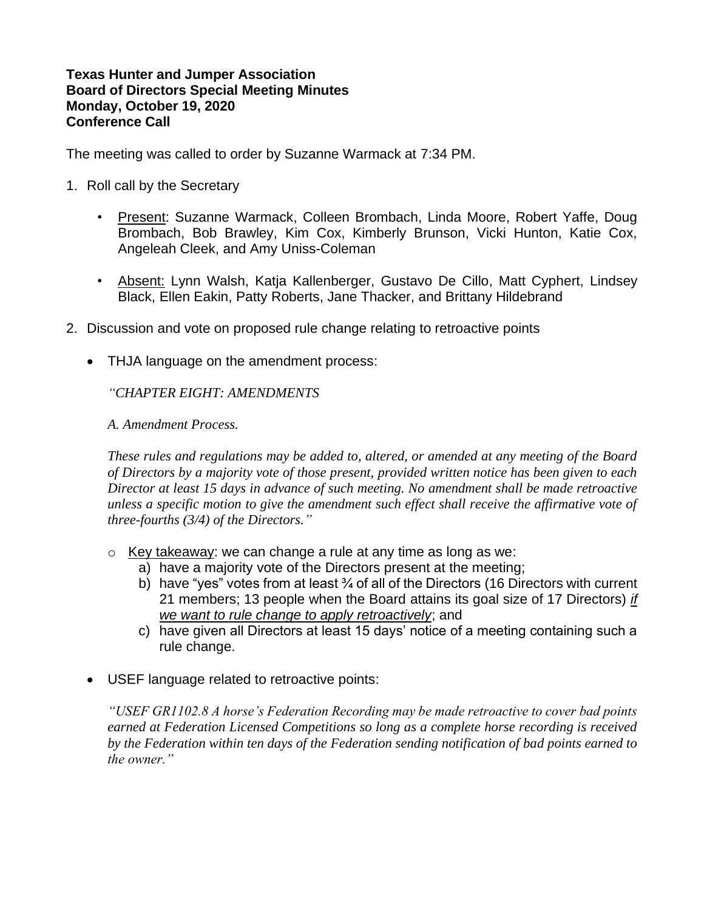## **Texas Hunter and Jumper Association Board of Directors Special Meeting Minutes Monday, October 19, 2020 Conference Call**

The meeting was called to order by Suzanne Warmack at 7:34 PM.

- 1. Roll call by the Secretary
	- Present: Suzanne Warmack, Colleen Brombach, Linda Moore, Robert Yaffe, Doug Brombach, Bob Brawley, Kim Cox, Kimberly Brunson, Vicki Hunton, Katie Cox, Angeleah Cleek, and Amy Uniss-Coleman
	- Absent: Lynn Walsh, Katja Kallenberger, Gustavo De Cillo, Matt Cyphert, Lindsey Black, Ellen Eakin, Patty Roberts, Jane Thacker, and Brittany Hildebrand
- 2. Discussion and vote on proposed rule change relating to retroactive points
	- THJA language on the amendment process:

*"CHAPTER EIGHT: AMENDMENTS*

*A. Amendment Process.*

*These rules and regulations may be added to, altered, or amended at any meeting of the Board of Directors by a majority vote of those present, provided written notice has been given to each Director at least 15 days in advance of such meeting. No amendment shall be made retroactive unless a specific motion to give the amendment such effect shall receive the affirmative vote of three-fourths (3/4) of the Directors."*

- o Key takeaway: we can change a rule at any time as long as we:
	- a) have a majority vote of the Directors present at the meeting;
	- b) have "yes" votes from at least 3/4 of all of the Directors (16 Directors with current 21 members; 13 people when the Board attains its goal size of 17 Directors) *if we want to rule change to apply retroactively*; and
	- c) have given all Directors at least 15 days' notice of a meeting containing such a rule change.
- USEF language related to retroactive points:

*"USEF GR1102.8 A horse's Federation Recording may be made retroactive to cover bad points earned at Federation Licensed Competitions so long as a complete horse recording is received by the Federation within ten days of the Federation sending notification of bad points earned to the owner."*